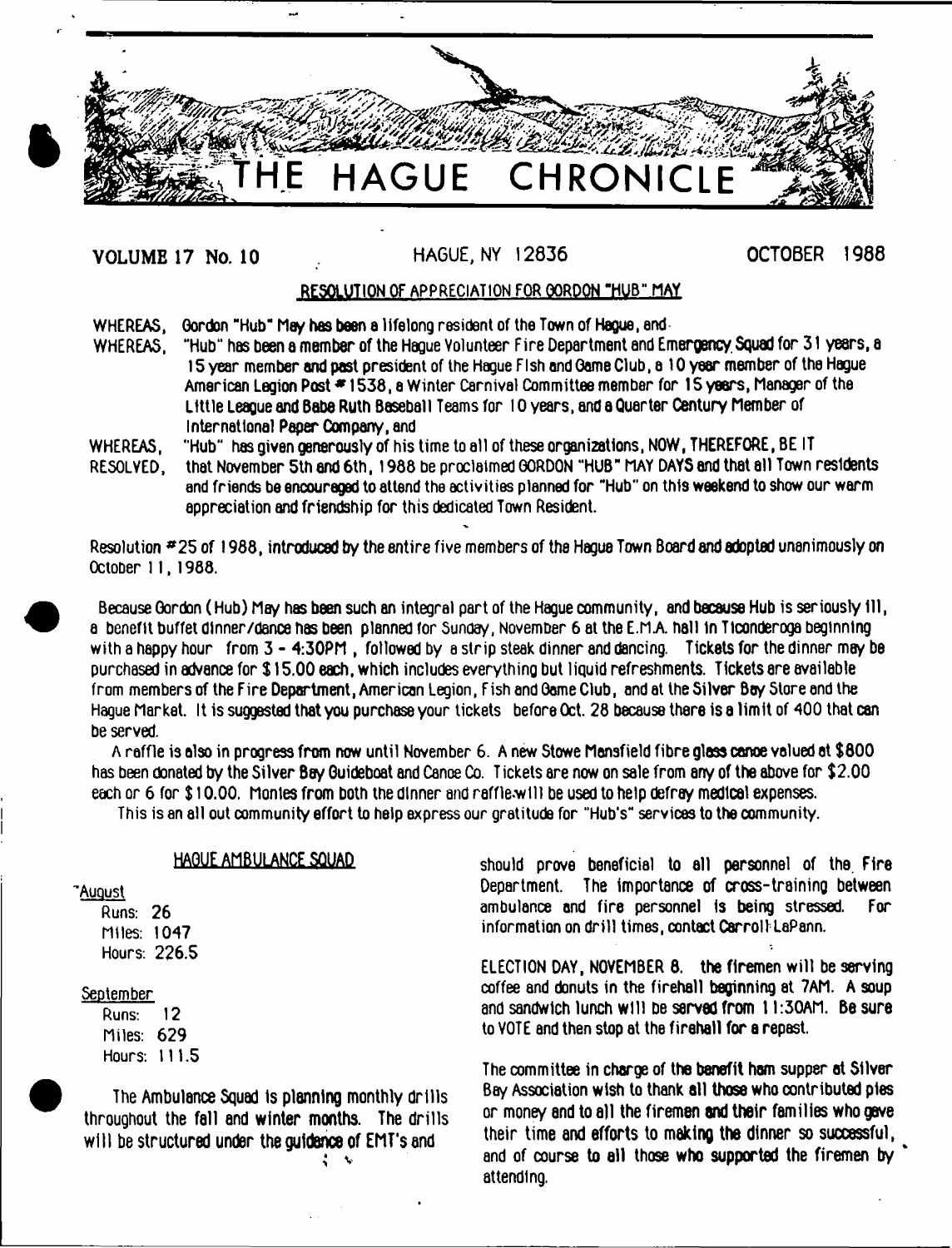

# **VOLUME 17 NO. 10** HAGUE, NY 12836

# **OCTOBER 1988**

# RESOLUTION OF APPRECIATION FOR GORDON "HUB" MAY

WHEREAS, Gordon "Hub" May has been a lifelong resident of the Town of Hague, and<br>WHEREAS, "Hub" has been a member of the Haque Volunteer Fire Department and En

"Hub" has been a member of the Hague Volunteer Fire Department and Emergency. Squad for 31 years, a 15 year member and past president of the Hague Fish and Game Club, a 10 year member of the Hague American Legion Post #1538, a Winter Carnival Committee member for 15 years, Manager of the Little League and 8abe Ruth Baseball Teams for 10 years, and a Quarter Century Member of International Paper Company, and

- WHEREAS, "Hub" has given generously of his time to all of these organizations, NOW, THEREFORE, BE IT
- RESOLVED, that November 5th end 6th, 1988 be proclaimed GORDON "HUB" MAY DAYS and that all Town residents and friends be encouraged to attend the activities planned for "Hub" on this weekend to show our warm appreciation and friendship for this dedicated Town Resident.

Resolution # 25 of 1988, introduced by the entire five members of the Hague Town Board end adopted unanimously on October 11,1988.

Because Gordon (Hub) May has been such an integral part of the Hague community, and because Hub is seriously ill, a benefit buffet dlnner/dance has been planned for Sunday, November 6 at the E.MA hall In Tlconderoga beginning with a happy hour from 3 - 4:30PM, followed by a strip steak dinner and dancing. Tickets for the dinner may be purchased in advance for \$ 15.00 each, which includes everything but liquid refreshments. Tickets are available from members of the Fire Department, American Legion, Fish and Gome Club, and at the Silver Bay Store and the Hague Market. It is suggested that you purchase your tickets before Oct. 28 because there is a limit of 400 that can be served.

A raffle is also in progress from now until November 6. A new Stowe Mansfield fibre glass canoe valued at \$800 has been donated by the Silver Bay Guideboat and Canoe Co. T ickets are now on sale from any of the above for \$2.00 each or 6 for \$ 10.00. Montes from both the dinner and raffle.wlll be used to help defray medical expenses.

This is an all out community effort to help express our gratitude for "Hub's" services to the community.

# HAGUE AMBULANCE SQUAD

#### 'August

Runs: 26 Miles: 1047 Hours: 226.5

#### September

Runs: 12 Miles: 629 Hours: 111.5

The Ambulance Squad Is planning monthly drills throughout the fall and winter months. The drills will be structured under the guidence of EMT's and  $\ddot{\phantom{1}}$ 

should prove beneficial to all personnel of the. Fire Department. The importance of cross-training between ambulance and fire personnel is being stressed. For information on drill times, contact Carroll LaPann.

ELECTION DAY, NOVEMBER 8. the firemen will be serving coffee and donuts in the fireball beginning et 7AM. A soup and sandwich lunch will be served from 1 l:30AM. Be sure to VOTE and then stop at the fireball for a repast.

The committee in charge of the benefit ham supper at Silver Boy Association wish to thank all those who contributed pies or money and to all the firemen and their families who gave their time and efforts to making the dinner so successful, and of course to all those who supported the firemen by attending.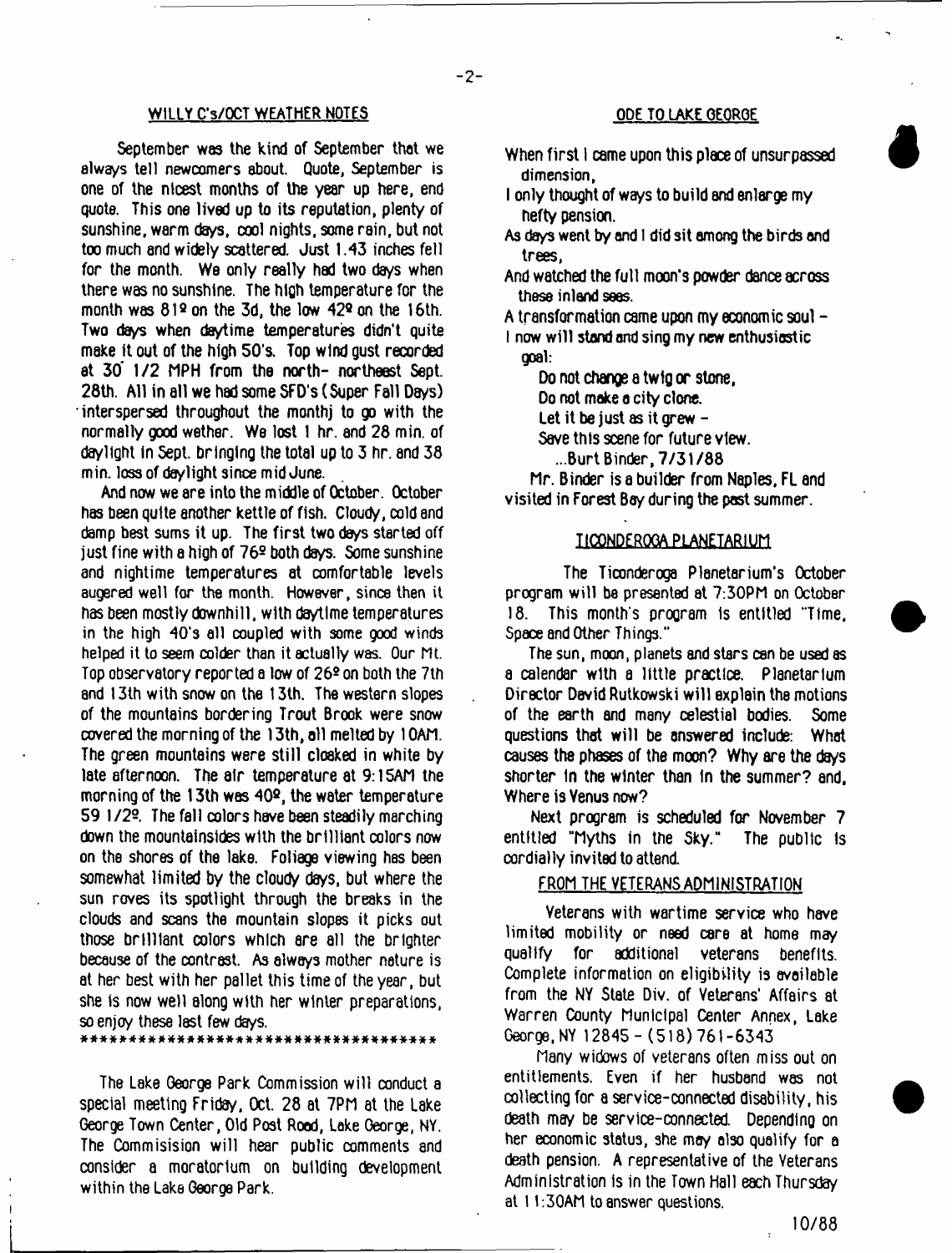#### WILLY C'S/OCT WEATHER NOTES ODE TO LAKE GEORGE

September was the kind of September that we always tell newcomers about. Quote, September is one of the nicest months of the year up here, end quote. This one lived up to its reputation, plenty of sunshine, warm days, cool nights, some rain, but not too much and widely scattered. Just 1.43 inches fell for the month. We only really had two days when there was no sunshine. The high temperature for the month was  $81<sup>2</sup>$  on the 3d, the low  $42<sup>2</sup>$  on the 16th. Two days when daytime temperatures didn't quite make it out of the high 50's. Top wind gust recorded at 30' 1/2 MPH from the north- northeast Sept. 28th. All in all we had some SFD's (Super Fall Days) interspersed throughout the monthj to go with the normally good wether. We lost 1 hr. and 28 min. of daylight in Sept. bringing the total up to 3 hr. and 38 min. loss of daylight since mid June.

And now we sre into the middle of October. October has been quite another kettle of fish. Cloudy, cold and damp best sums it up. The first two days started off just fine with a high of 769 both days. Some sunshine and nightime temperatures at comfortable levels augered well for the month. However, since then it has been mostly downhill, with daytime temperatures in the high 40's all coupled with some good winds helped it to seem colder than it actually was. Our ML Top observatory reported a low of 262 on both the 7th and 13th with snow on the 13th. The western slopes of the mountains bordering Trout Brook were snow covered the morning of the 13th, all melted by 10AM. The green mountains were still cloaked in white by late afternoon. The air temperature at 9:15AM the morning of the 13th was 40®, the wster temperature 59 1/22. The fall colors have been steadily marching down the mountainsides with the brilliant colors now on the shores of the lake. Foliage viewing has been somewhat limited by the cloudy days, but where the sun roves its spotlight through the breaks in the clouds and scans the mountain slopes it picks out those brilliant colors which are all the brighter because of the contrast. As always mother nature is at her best with her pallet this time of the year, but she is now well along with her winter preparations, so enjoy these lest few days. \* \* \* \* \* \* \* \* \* \* \* \* \* \* \* \* \* \* \* \* \* \* \* \* \* \* \* \* \* \* \* \* \* \* \* \* \*

The Lake George Park Commission will conduct a special meeting Friday, Oct. 28 at 7PM at the Lake George Town Center, Old Post Rood, Lake George, NY. The Commisision will hear public comments and consider a moratorium on building development within the Lake George Park.

- When first 1 came upon this place of unsurpassed dimension,
- I only thought of ways to build and enlarge my hefty pension.
- As days went by and 1 did sit among the birds and trees,
- And watched the full moon's powder dance across these inland sees.

A transformation came upon my economic soul - 1 now will stand and sing my new enthusiastic

goal:

Do not change a twig or stone,

Do not make a city clone.

Let it be just as it grew  $-$ 

Save this scene for future view.

...Burt Binder, 7/31/88

Mr. Binder is a builder from Naples, FL and visited in Forest Bay during the post summer.

#### ItCQNDFRQQA PLANETARIUM

The Ticonderoga Planetarium's October program will be presented at 7:30PM on October 18. This month's program is entitled "Time, Space and Other Things."

The sun, moon, planets and stars can be used as a calendar with a little practice. Planetarium Director David Rutkowski will explain the motions of the earth and many celestial bodies. Some questions that will be answered include: What causes the phases of the moon? Why are the days shorter In the winter than in the summer? and. Where is Venus now?

Next program is scheduled for November 7 entitled "Myths in the Sky." The public is cordially invited to attend

### FROM THE VETERANS ADMINISTRATION

Veterans with wartime service who have limited mobility or need care at home may qualify for additional veterans benefits. Complete information on eligibility is available from the NY State Div. of Veterans' Affairs at Warren County Municipal Center Annex, Lake George, NY 12845 - (518) 761-6343

Many widows of veterans often miss out on entitlements. Even if her husband was not collecting for a service-connected disability, his death may be service-connected. Depending on her economic status, she may also qualify for a death pension. A representative of the Veterans Administration Is in the Town Hall each Thursday at 11:30AM to answer questions.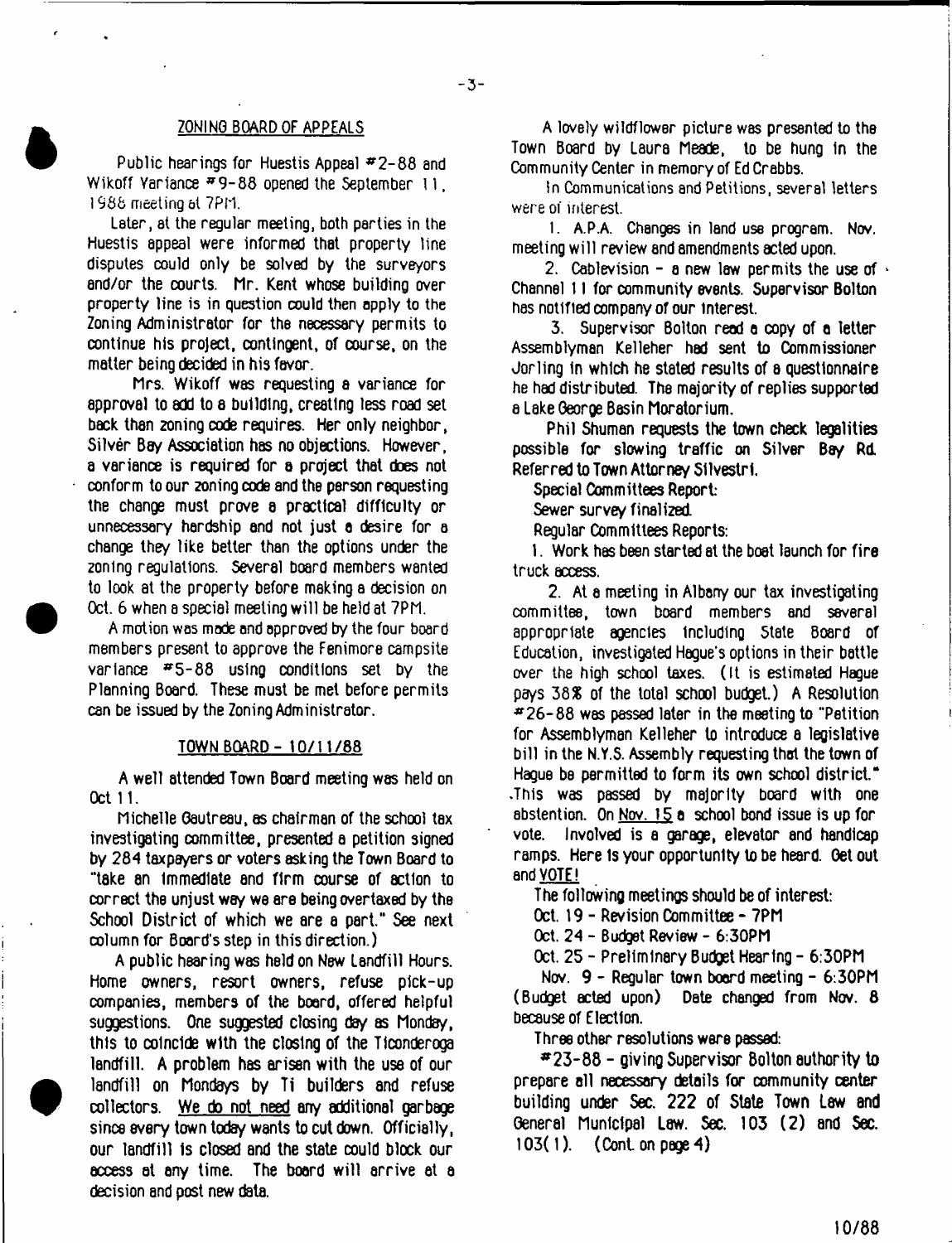#### ZONING BOARD OF APPEALS

Public hearings for Huestis Appeal  $\#2-88$  and Wikoff Variance  $#9-88$  opened the September 11, 1988 meeting at 7PM.

Later, at the regular meeting, both parties in the Huestis appeal were informed that property line disputes could only be solved by the surveyors end/or the courts. Mr. Kent whose building over property line is in question could then apply to the Zoning Administrator for the necessary permits to continue his project, contingent, of course, on the matter being decided in his favor.

Mrs. Wikoff was requesting a variance for approval to add to a building, creating less road set back than 2oning code requires. Her only neighbor, Silver Bay Association has no objections. However, a variance is required for a project that does not conform to our zoning code and the person requesting the change must prove a practical difficulty or unnecessary hardship and not just a desire for a change they like better than the options under the zoning regulations. Several board members wanted to look at the property before making a decision on Oct. 6 when a special meeting will be held at 7PM.

A motion was mode and approved by the four board members present to approve the Fenimore campsite variance  $#5-88$  using conditions set by the Planning Board. These must be met before permits can be issued by the Zoning Administrator.

#### TOWN BOARD - 10/11/88

A well attended Town Board meeting was held on Oct 11.

Michelle Gautreau, as chairman of the school tax investigating committee, presented a petition signed by 284 taxpayers or voters asking the Town Board to "take an Immediate and firm course of action to correct the unjust way we are bsing overtaxed by the School District of which we are a part," See next column for Board's step in this direction.)

A public hearing was held on New Landfill Hours. Home owners, resort owners, refuse p1ck-up companies, members of the board, offered helpful suggestions. One suggested closing day as Monday, this to coincide with the closing of the Ticonderoga landfill. A problem has arisen with the use of our landfill on Mondays by Ti builders and refuse collectors. We do not need any additional garbage since every town today wants to cut down. Officially, our landfill is closed and the state could block our access at any time. The board will arrive at a decision and post new data.

A lovely wildflower picture was presented to the Town Board by Laura Meade, to be hung in the Community Center in memory of Ed Crabbs.

In Communications and Petitions, several letters were of interest.

1. A.P.A. Changes in land use program. Nov. meeting will review and amendments acted upon.

2. Cablevision - a new law permits the use of  $\cdot$ Channel 11 for community events. Supervisor Bolton has notified company of our interest.

3. Supervisor Bolton read a copy of a letter Assemblyman Kelleher had sent to Commissioner Jorling In which he stated results of a questionnaire he had distributed. The majority of replies supported a Lake Georoe Basin Moratorium.

Phil Shuman requests the town check legalities possible for slowing traffic on Silver Bay Rd. Referred to Town Attorney Sllvestrl,

Special Committees Report:

Sewer survey finalized.

Regular Committees Reports:

1. Work has been started at the boat launch for fire truck access.

2. At a meeting in Albany our tax investigating committee, town board members and several appropriate agencies Including State Board of Education, investigated Hague's options in their battle over the high school taxes. (It is estimated Hague pays 38% of the total school budget.) A Resolution  $*26-88$  was passed later in the meeting to "Petition" for Assemblyman Kelleher to introduce a legislative bill in the N.Y.S. Assembly requesting that the town of Hague be permitted to form its own school district." .This was passed by majority board with one abstention. On Nov. 15 a school bond issue is up for vote. Involved is a garage, elevator and handicap ramps. Here Is your opportunity lobe heard. Oetout and VOTE!

The following meetings should be of interest:

Oct. 19 - Revision Committee - 7PM

Oct. 24 - Budget Review - 6:30PM

Oct. 25 - Preliminary Budget Hearing - 6:30PM

Nov. 9 - Regular town board meeting - 6:30PM (Budget acted upon) Date changed from Nov. 8 because of Election.

Three other resolutions were passed:

\*23-88 - giving Supervisor Bolton authority to prepare all necessary details for community center building under Sec. 222 of State Town Law and General Municipal Law. Sec. 103 (2) and Sec. 103(1). (Cont on page 4)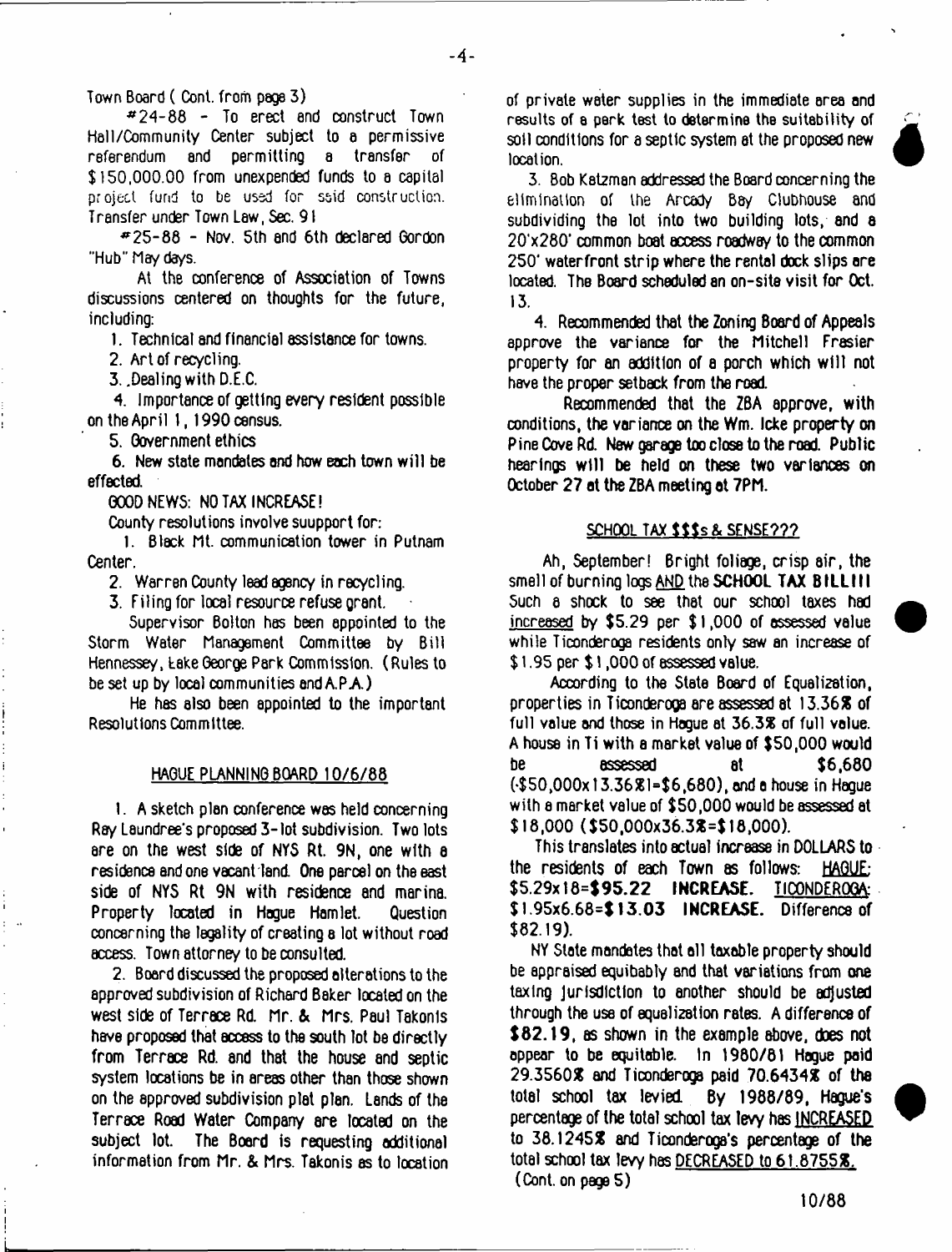Town Board ( Cont. from page 3)

\*24-88 - To erect end construct Town Hell/Community Center subject to a permissive referendum and permitting a transfer of \$150,000.00 from unexpended funds to a capital project fund to be used for said construction. Transfer under Town Law, Sec. 91

\*25-88 - Nov. 5th end 6th declared Gordon ■'Hub" Maydays.

At the conference of Association of Towns discussions centered on thoughts for the future, including:

1. Technical and financial assistance for towns.

2. Art of recycling.

3. .Dealing with D.E.C.

4. Importance of getting every resident possible on the April 1,1990 census.

5. Government ethics

6. New state mandates and how each town will be effected.

GOOD NEWS: NO TAX INCREASE!

County resolutions involve suupport for:

1. Black Mt. communication tower in Putnam Center.

2. Warren County lead agency in recycling.

3. Filing for local resource refuse grant.

Supervisor Bolton has been appointed to the Storm Water Management Committee by Bill Hennessey, take George Park Commission. (Rules to be set up by local communities and A.P.A.)

He has also been appointed to the important Resolutions Committee.

#### HAGUE PLANNING BOARD 10/6/88

1. A sketch plan conference was held concerning Ray Laundree's proposed 3-lot subdivision. Two lots are on the west side of NYS Rt. 9N, one with e residence and one vacant land. One parcel on the east side of NYS Rt 9N with residence and marina. Property located in Hogue Hamlet. Question concerning the legality of creating a lot without road access. Town attorney to be consulted.

2. Board discussed the proposed alterations to the approved subdivision of Richard Baker located on the west side of Terrace Rd. Mr. & Mrs. Paul Takonls have proposed that accsss to the south lot be directly from Terrace Rd. and that the house and septic system locations be in areas other than those shown on the approved subdivision plat plan. Lands of the Terrace Road Water Company are located on the subject lot. The Board is requesting additional information from Mr. *&* Mrs. Takonis as to location of private water supplies in the immediate area and results of a perk test to determine the suitability of soil conditions for a septic system at the proposed new location.



3. Bob Katzman addressed the Board concerning the elimination of the Arcady Bay Clubhouse and subdividing the lot into two building lots, and a 20'x280' common boat access roadway to the common 250' waterfront strip where the rental dock slips ore located. The Board scheduled an on-site visit for Oct. 13.

4. Recommended that the Zoning Board of Appeals approve the variance for the Mitchell Frasier property for an addition of a porch which w ill not have the proper setback from the road

Recommended that the ZBA approve, with conditions, the variance on the Wm. Icke property on Pine Cove Rd. New garage too close to the road. Public hearings will be held on these two variances on October 27 at the ZBA meeting at 7PM.

#### **SCHOOL TAX** *t* **t \$ s & SENSE???**

Ah, September! Bright foliage, crisp air, the smell of burning logs AND the SCHOOL TAX BILLIII Such a shock to see that our school taxes had increased by \$5.29 per \$ 1,000 of assessed value while Ticonderoga residents only saw an increase of \$ l .95 per \$ 1,000 of assessed value.

According to the State Board of Equalization, properties in Ticonderoga are assessed at 13.36% of full value and those in Hague at 36.3% of full value. A house in Ti with a market value of \$50,000 would be assessed at \$6,680 (\*\$50,000xt3.36%l=\$6,680),onda house in Hague with e market value of \$50,000 would be assessed at \$18,000 (\$50,000x36.3%=\$ 18,000).

This translates into actual increase in DOLLARS to the residents of each Town as follows: HAGUE: \$5.29x18=\$95.22 INCREASE. TICONDEROGA \$1.95x6.68=\$13.03 INCREASE. Difference of \$82.19).

NY Slate mandates that all taxable property should be appraised equibably and that variations from one taxing jurisdiction to another should be adjusted through the use of equalization rates. A difference of \$82.19, as shown in the example above, does not appear to be equitable. In 1980/81 Hague paid 29.3560% and Ticonderoga paid 70.6434% of the total school tax levied. By 1988/89, Hague's percentage of the total school tax levy has INCREASED to 38.1245% and Ticonderoga's percentage of the total school tax levy has DECREASED to 61.8755%. (Cont. on page 5)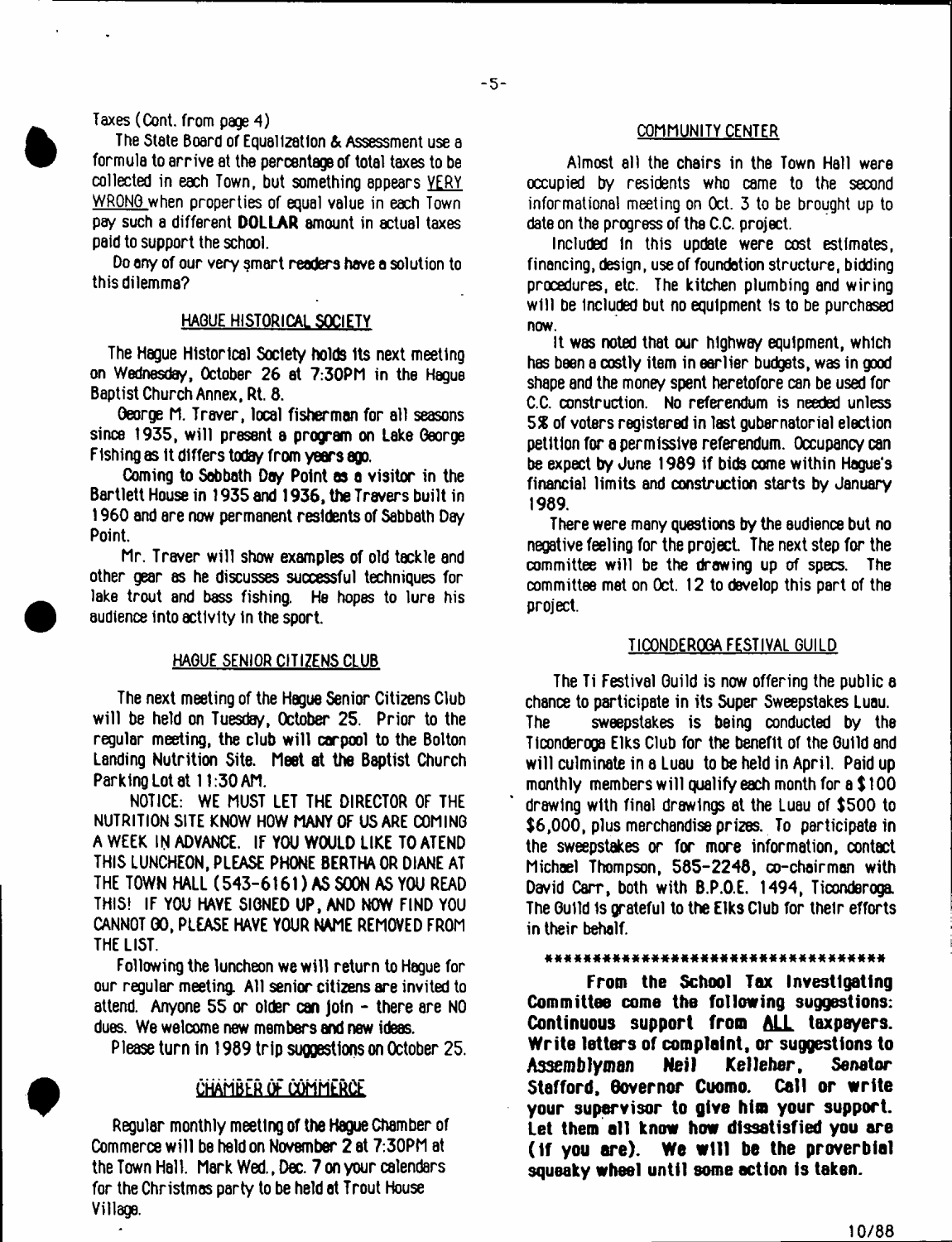### Taxes (Cont. from page 4)

The State Board of Equalization & Assessment use a formula to arrive at the percentage of total taxes to be collected in each Town, but something appears VERY WRONG when properties of equal value in each Town pay such a different DOLLAR amount in actual taxes paid to support the school.

Do any of our very smart readers have a solution to this dilemma?

## HAGUE HISTORICAL SOCIETY

The Hague Historical Society holds Its next meeting on Wednesday, October 26 at 7:30PM in the Hague Baptist Church Annex, Rt. 8.

George M. Traver, local fisherman for all seasons since 1935, will present a program on Lake George FIshing as It differs today from years ago.

Coming to Sabbath Day Point **as a** visitor in the Bartlett House in 1935 and 1936, the Travers built in 1960 and are now permanent residents of Sabbath Day Point.

Mr. Traver will show examples of old tackle and other gear as he discusses successful techniques for lake trout and bass fishing. He hopes to lure his audience Into activity In the sport.

#### HAGUE SENIOR CITIZENS CLUB

The next meeting of the Hague Senior Citizens Club will be held on Tuesday, October 25. Prior to the regular meeting, the club will carpool to the Bolton Landing Nutrition Site. Meet at the Baptist Church Parking Lot at 11:30 AM.

NOTICE: WE MUST LET THE DIRECTOR OF THE NUTRITION SITE KNOW HOW MANY OF US ARE COMING A WEEK IN ADVANCE. IF YOU WOULD LIKE TO ATEND THIS LUNCHEON, PLEASE PHONE BERTHA OR DIANE AT THE TOWN HALL (543-6161) AS SOON AS YOU READ THIS! IF YOU HAVE SIGNED UP, AND NOW FIND YOU CANNOT GO, PLEASE HAVE YOUR NAME REMOVED FROM THE LIST.

Following the luncheon we will return to Hague for our regular meeting. All senior citizens are invited to attend. Anyone 55 or older can join - there are NO dues. We welcome new members and new ideas.

Please turn in 1989 trip suggestions on October 25.

#### CHAMBER OF COMMERCE

Regular monthly meeting of the Hague Chamber of Commerce will be held on November 2 at 7:30PM at the Town Hall. Mark Wed., Dec. 7 on your calendars for the Christmas party to be held at Trout House Village.

 $\Delta$ 

#### COMMUNITY CENTER

Almost all the chairs in the Town Hall were occupied by residents who came to the second informational meeting on Oct. 3 to be brought up to date on the progress of the C.C. project.

Included In this update were cost estimates, financing, design, use of foundation structure, bidding procedures, etc. The kitchen plumbing and wiring will be included but no equipment Is to be purchased now.

It was noted that our highway equipment, which has been a costly item in earlier budgets, was in good shape and the money spent heretofore can be used for C.C. construction. No referendum is needed unless *5 %* of voters registered in last gubernatorial election petition for **a** permissive referendum. Occupancy can be expect by June 1989 if bids come within Hague's financial limits and construction starts by January 1989.

There were many questions by the audience but no negative feeling for the project The next step for the committee will be the drawing up of specs. The committee met on Oct. 12 to develop this part of the project.

#### TICONDEROGA FESTIVAL GUILD

The Ti Festival Guild is now offering the public a chance to participate in its Super Sweepstakes Luau. The sweepstakes is being conducted by the Ticonderoga Elks Club for the benefit of the Guild and will culminate in a Luau to be held in April. Paid up monthly members will qualify each month for a \$ 100 drawing with final drawings at the Luau of \$500 to \$6,000, plus merchandise prizes. To participate in the sweepstakes or for more information, contact Michael Thompson, 585-2248, co-chairman with David Carr, both with B.P.O.E. 1494, Ticonderoga. The Guild 1s grateful to the Elks Club for their efforts in their behalf.

#### \*\*\*\*\*\*\*\*\*\*\*\*\*\*\*\*\*\*\*\*\*\*\*\*\*\*\*\*\*\*\*\*\*\*

**From the School Tax Investigating Committee come the following suggestions: Continuous support from ALL taxpayers. Write letters of complaint, or suggestions to Assemb lyman Nei I Kel leher, Senator Stafford, Governor Cuomo. Call or write your supervisor to give him your support. Let them all know how dissatisfied you are (If you are). We w ill be the proverbial squeaky wheel until some action is taken.**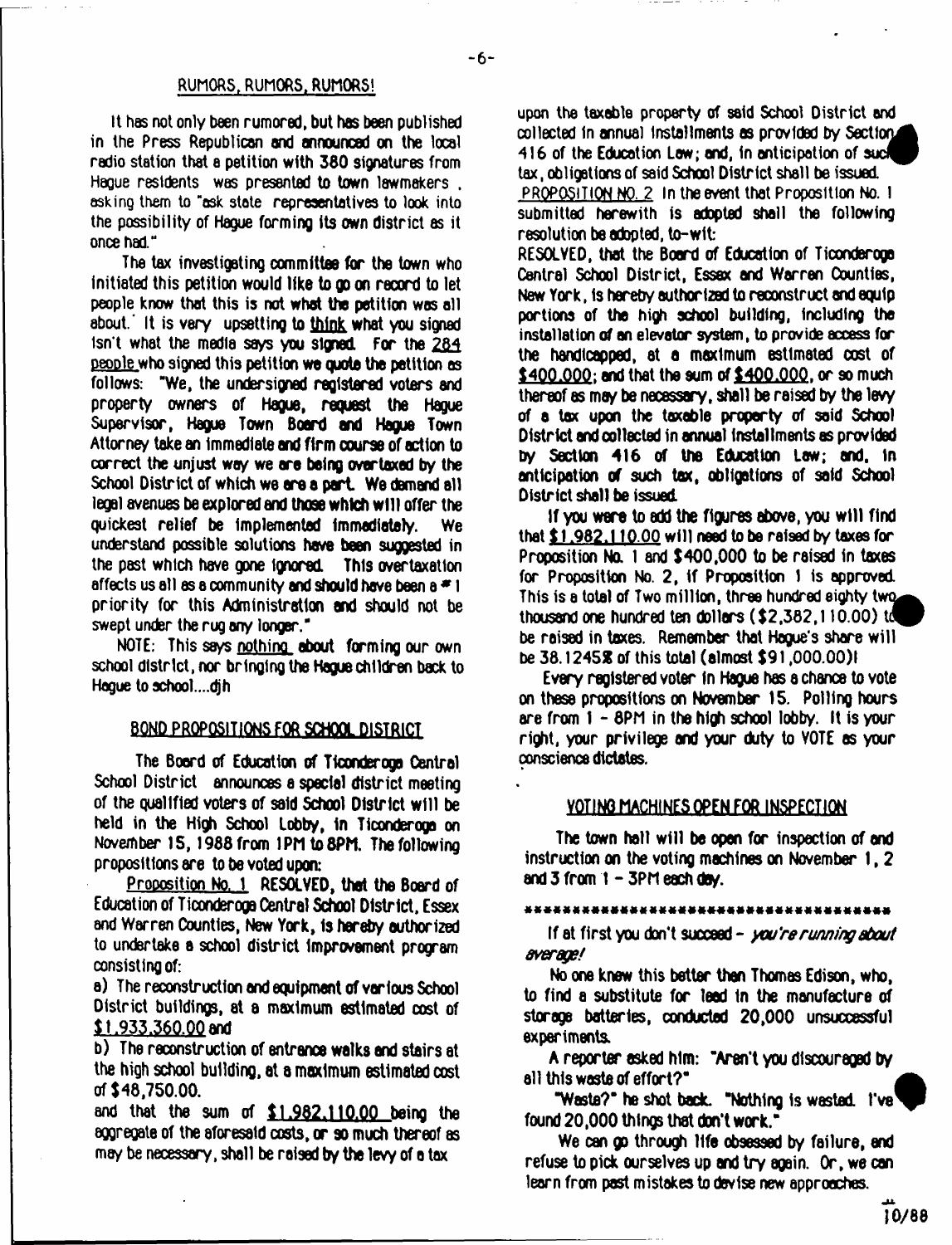#### RUMORS, RUMORS. RUMORS!

It has not only been rumored, but has been published in the Press Republican and announced on the local radio station that a petition with 360 signatures from Hague residents was presented to town lawmakers . asking them to "ask state representatives to look into the possibility of Hague forming its own district as it once had."

The tax investigating committee for the town who initiated this petition would like to go on record to let people know that this is not what the petition was all about.' It is very upsetting to think what you signed isn't what the media says you signed For the 284 people who signed this petition we quota the petition as follows: "We, the undersigned registered voters and property owners of Hague, request the Hague Supervisor, Hague Town Board end Hague Town Attorney take an Immediate and firm course of action to correct the unjust way we ore being overtaxed by the School District of which we are a part. We demand all legal avenues be explored and those which w ill offer the quickest relief be implemented Immediately. We understand possible solutions have been suggested in the past which have gone ignored Thts overtaxation affects us all as a community and should have been a  $*1$ priority for this Administration end should not be swept under the rug any longer."

NOTE: This seys nothing about forming our own school district, nor bringing the Hague children back to Hague to school....djh

### BOND PROPOSITIONS FOR SCHOOL DISTRICT

The Board of Education of Ticonderoga Central School District announces a special district meeting of the qualified voters of said School District w ill be held in the High School lobby, In Ticonderoga on November IS, 1988 from 1PM to8PM. The following propositions are to be voted upon:

Proposition No. 1 RESOLVED, that the Board of Education of Ticonderoga Oentral School District. Essex and Warren Counties, New York, Is hereby authorized to undertake a school district improvement program consisting of:

a) The reconstruction and equipment of various School District buildings, at a maximum estimated cost of \$1,933,360.00 and

b) The reconstruction of entrance walks and stairs at the high school building, at a maximum estimated cost of \$48,750.00.

and that the sum of \$1.982.110.00 being the aggregate of the aforesaid costs, or so much thereof as may be necessary, shall be raised by the levy of o tax

upon the taxable property of said School District and collected in annual installments as provided by Section. 416 of the Education Law; and, in anticipation of such tax, obligations of said School District shall be issued. PROPOSITION NO. 2 In the event that Proposition No. I submitted herewith is adopted shall the following resolution be adopted, to-wit:

RESOLVED, that the Board of Education of Ticonderoga Central School District, Essex and Warren Counties, New York, Is hereby authorized to reconstruct and equip portions of the high school building, Including the installation of an elevator system, to provide access for the handicapped, at a maximum estimated cost of \$400,000; and that the sum of \$400,000, or so much thereof as may be necessary, shall be raised by the levy of a tax upon the taxable property of said School District and collected in annual Installments as provided by Section 416 of the Education Law; and. in anticipation of such tax, obligations of said School District shall be issued

If you were to add the figures above, you w ill find that \$1,982,110.00 will need to be raised by taxes for Proposition No. 1 and \$400,000 to be raised in taxes for Proposition No. 2, if Proposition 1 is approved. This is a total of Two million, three hundred eighty two thousand one hundred ten dollars (\$2,382,110.00) be raised in taxes. Remember that Haque's share will be 38.12452 of this total (almost \$91,000.00)1

Every registered voter In Hague has a chance to vote on these propositions on November 15. Polling hours are from 1 - 8PM in the high school lobby. It is your right, your privilege and your duty to VOTE as your conscience dictates.

#### YOTING MACHINES OPEN FOR INSPECTION

The town hall will be open for inspection of and instruction on the voting machines on November 1, 2 and  $3$  from  $1 - 3$ PM each day.

If at first you don't succeed - *you're running about average/*

No one knew this better than Thomas Edison, who, to find a substitute for lead tn the manufacture of storage batteries, conducted 20,000 unsuccessful experiments.

A reporter asked Mm: "Aren't you discouraged by all this waste of effort?"

"Waste?" he shot back. "Nothing is wasted. I've' found 20,000 things that don't work."

We can go through life obsessed by failure, end refuse to pick ourselves up and try again. Or, we can learn from past mistakes to devise new approaches.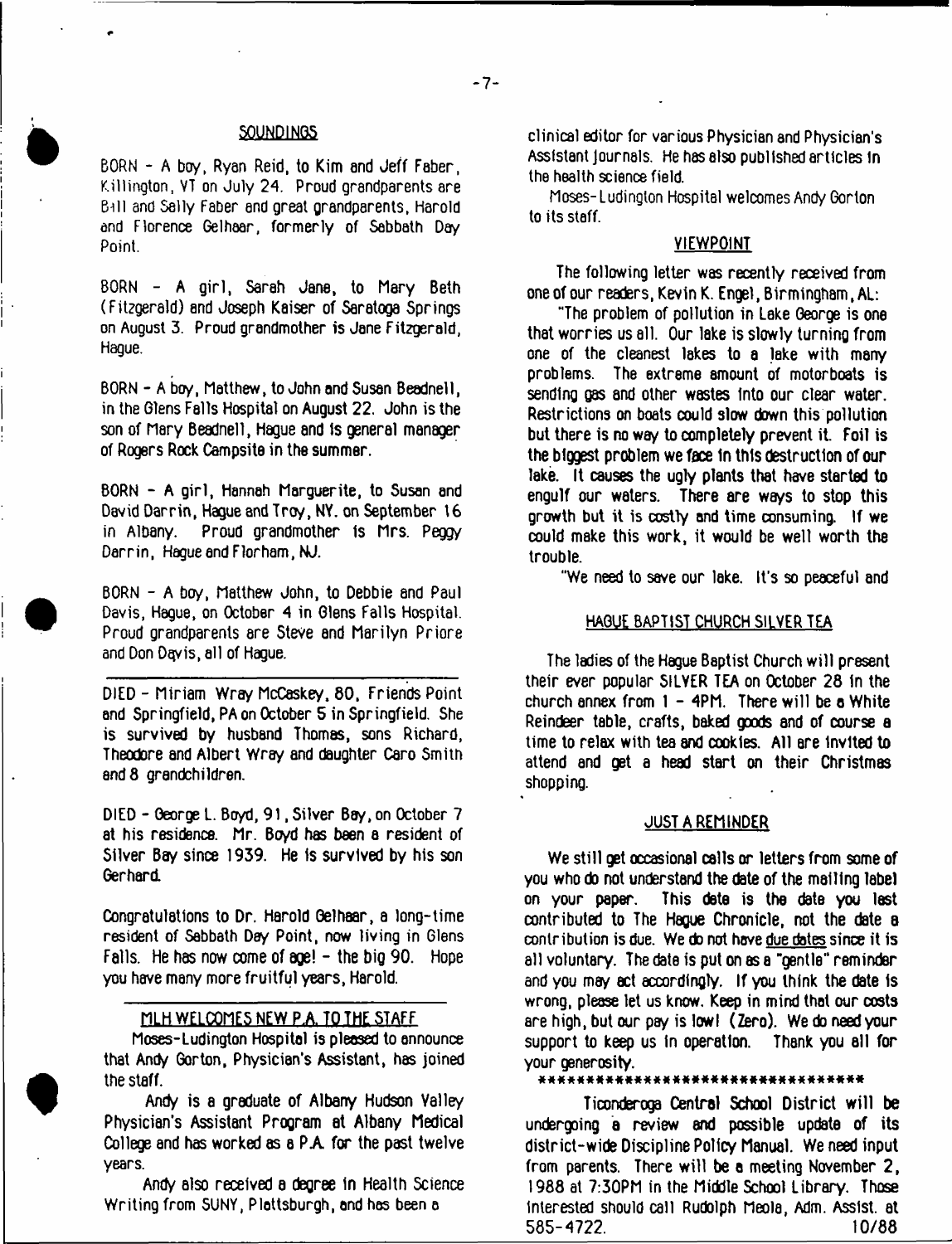### SOUNDINGS

BORN - A boy, Ryan Reid, to Kim and Jeff Faber, Killington, VT on July 24. Proud grandparents are Bill and Sally Faber end great grandparents, Harold and Florence Gelhaar, formerly of Sabbath Day Point.

BORN - A girl, Sarah Jane, to Mary Beth (Fitzgerald) and Joseph Kaiser of Saratoga Springs on August 3. Proud grandmother is Jane Fitzgerald, Hague.

BORN - A boy, Matthew, to John and Susan Beadnell, in the Glens Falls Hospital on August 22. John is the son of Mary Beadnell, Hague and is general manager of Rogers Rock Campsite in the summer.

BORN - A girl, Hannah Marguerite, to Susan and David Darrin, Hague and Trey, NY. on September t6 Proud grandmother is Mrs. Peggy Darrin, Hague end Florham.NJ.

BORN - A boy, Matthew John, to Debbie and Paul Davis, Hague, on October 4 in Glens Falls Hospital. Proud grandparents sre Steve and Marilyn Priore and Don Dqyis, all of Hague.

DIED - Miriam Wray McCeskey. 80, Friends Point and Springfield, PA on October 5 in Springfield. She is survived by husband Thomas, sons Richard, Theodore and Albert Wray and daughter Caro Smith and 8 grandchildren.

DIED - George L. Boyd, 91, Silver Boy, on October 7 at his residence. Mr. Bo/d has been a resident of Silver Bay since 1939. He is survived by his son Gerhard.

Congratulations to Dr. Harold Oelhaar, a long-time resident of Sabbath Day Point, now living in Glens Falls. He has now come of age! - the big 90. Hope you have many more fruitful years, Harold.

# MLH WELCOMES NEW P.A. TO THE STAFF

Moses-Ludington Hospital is pleased to announce that Andy Gorton, Physician's Assistant, has joined the staff.

Andy is a graduate of Albany Hudson Valley Physician's Assistant Program at Albany Medical College and has worked as a PA for the past twelve years.

Andy also received a degree In Health Science Writing from SUNY, Plattsburgh, end has been a

clinical editor for various Physician and Physician's Assistant Journals. He has also published articles in the health science field

Moses-Ludington Hospital welcomes Andy Gorton to its staff.

#### VIEWPOINT

The following letter was recently received from one of our readers, Kevin K. Engel, Birmingham (AL:

"The problem of pollution in Lake George is one that worries us all. Our lake is slowly turning from one of the cleanest lakes to a lake with many problems. The extreme amount of motorboats is sending gas and other wastes Into our clear water. Restrictions on boats could slow down this pollution but there is no way to completely prevent it. Foil is the biggest problem we face in this destruction of our lake. It causes the ugly plants that have started to engulf our waters. There are ways to stop this growth but it is costly and time consuming. If we could make this work, it would be well worth the trouble.

"We need to save our lake. It's so peaceful and

#### HAGUE BAPTIST CHURCH SILVER TEA

The ladies of the Hague Baptist Church will present their ever popular SILVER TEA on October 28 In the church annex from  $1 - 4$ PM. There will be a White Reindeer table, crafts, baked goods and of course a time to relax with tea and cookies. All are Invited to attend and get a head start on their Christmas shopping.

### JUST A REMINDER

We still get occasional calls or letters from some of you who do not understand the date of the mailing label<br>on your paper. This data is the date you last This dete is the date you last contributed to The Hague Chronicle, not the date a contribution is due. We do not have due dotes since it is all voluntary. The date is put on as a "gentle" reminder and you may act accordingly. If you think the date is wrong, please let us know. Keep in mind that our costs are high, but our pay is low I (Zero). We do need your support to keep us in operation. Thank you all for your generosity.

\*\*\*\*\*\*\*\*\*\*\*\*\*\*\*\*\*\*

Ticonderoga Central School District will be undergoing a review end possible update of its district-wide Discipline Policy Manual. We need input from parents. There will be a meeting November 2, 1988 at 7:30PM in the Middle School Library. Those Interested should call Rudolph Meola, Adm. Assist, at 585-4722. 10/88